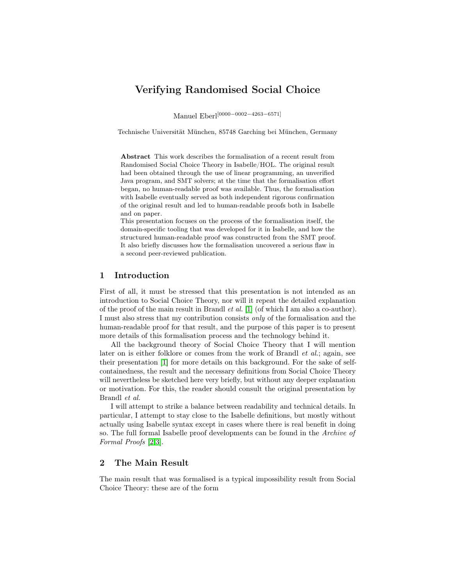# Verifying Randomised Social Choice

Manuel Eberl[0000−0002−4263−6571]

Technische Universität München, 85748 Garching bei München, Germany

Abstract This work describes the formalisation of a recent result from Randomised Social Choice Theory in Isabelle/HOL. The original result had been obtained through the use of linear programming, an unverified Java program, and SMT solvers; at the time that the formalisation effort began, no human-readable proof was available. Thus, the formalisation with Isabelle eventually served as both independent rigorous confirmation of the original result and led to human-readable proofs both in Isabelle and on paper.

This presentation focuses on the process of the formalisation itself, the domain-specific tooling that was developed for it in Isabelle, and how the structured human-readable proof was constructed from the SMT proof. It also briefly discusses how the formalisation uncovered a serious flaw in a second peer-reviewed publication.

### 1 Introduction

First of all, it must be stressed that this presentation is not intended as an introduction to Social Choice Theory, nor will it repeat the detailed explanation of the proof of the main result in Brandl et al. [\[1\]](#page-15-0) (of which I am also a co-author). I must also stress that my contribution consists only of the formalisation and the human-readable proof for that result, and the purpose of this paper is to present more details of this formalisation process and the technology behind it.

All the background theory of Social Choice Theory that I will mention later on is either folklore or comes from the work of Brandl *et al.*; again, see their presentation [\[1\]](#page-15-0) for more details on this background. For the sake of selfcontainedness, the result and the necessary definitions from Social Choice Theory will nevertheless be sketched here very briefly, but without any deeper explanation or motivation. For this, the reader should consult the original presentation by Brandl et al.

I will attempt to strike a balance between readability and technical details. In particular, I attempt to stay close to the Isabelle definitions, but mostly without actually using Isabelle syntax except in cases where there is real benefit in doing so. The full formal Isabelle proof developments can be found in the Archive of Formal Proofs [\[2](#page-15-1)[,3\]](#page-15-2).

# 2 The Main Result

The main result that was formalised is a typical impossibility result from Social Choice Theory: these are of the form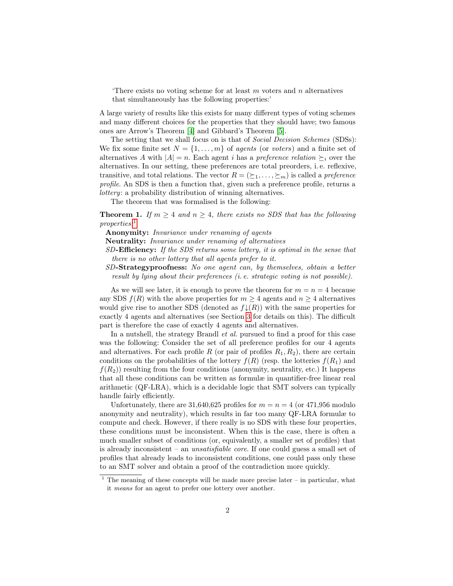There exists no voting scheme for at least  $m$  voters and  $n$  alternatives that simultaneously has the following properties:'

A large variety of results like this exists for many different types of voting schemes and many different choices for the properties that they should have; two famous ones are Arrow's Theorem [\[4\]](#page-15-3) and Gibbard's Theorem [\[5\]](#page-15-4).

The setting that we shall focus on is that of Social Decision Schemes (SDSs): We fix some finite set  $N = \{1, \ldots, m\}$  of agents (or voters) and a finite set of alternatives A with  $|A| = n$ . Each agent i has a preference relation  $\succeq_i$  over the alternatives. In our setting, these preferences are total preorders, i. e. reflexive, transitive, and total relations. The vector  $R = (\succeq_1, \ldots, \succeq_m)$  is called a preference profile. An SDS is then a function that, given such a preference profile, returns a lottery: a probability distribution of winning alternatives.

<span id="page-1-1"></span>The theorem that was formalised is the following:

**Theorem 1.** If  $m \geq 4$  and  $n \geq 4$ , there exists no SDS that has the following properties:[1](#page-1-0)

Anonymity: Invariance under renaming of agents

Neutrality: Invariance under renaming of alternatives

SD-Efficiency: If the SDS returns some lottery, it is optimal in the sense that there is no other lottery that all agents prefer to it.

SD-Strategyproofness: No one agent can, by themselves, obtain a better result by lying about their preferences (i. e. strategic voting is not possible).

As we will see later, it is enough to prove the theorem for  $m = n = 4$  because any SDS  $f(R)$  with the above properties for  $m \geq 4$  agents and  $n \geq 4$  alternatives would give rise to another SDS (denoted as  $f\downarrow(R)$ ) with the same properties for exactly 4 agents and alternatives (see Section [3](#page-5-0) for details on this). The difficult part is therefore the case of exactly 4 agents and alternatives.

In a nutshell, the strategy Brandl *et al.* pursued to find a proof for this case was the following: Consider the set of all preference profiles for our 4 agents and alternatives. For each profile R (or pair of profiles  $R_1, R_2$ ), there are certain conditions on the probabilities of the lottery  $f(R)$  (resp. the lotteries  $f(R_1)$ ) and  $f(R_2)$ ) resulting from the four conditions (anonymity, neutrality, etc.) It happens that all these conditions can be written as formulæ in quantifier-free linear real arithmetic (QF-LRA), which is a decidable logic that SMT solvers can typically handle fairly efficiently.

Unfortunately, there are 31,640,625 profiles for  $m = n = 4$  (or 471,956 modulo anonymity and neutrality), which results in far too many QF-LRA formulæ to compute and check. However, if there really is no SDS with these four properties, these conditions must be inconsistent. When this is the case, there is often a much smaller subset of conditions (or, equivalently, a smaller set of profiles) that is already inconsistent – an unsatisfiable core. If one could guess a small set of profiles that already leads to inconsistent conditions, one could pass only these to an SMT solver and obtain a proof of the contradiction more quickly.

<span id="page-1-0"></span> $1$  The meaning of these concepts will be made more precise later – in particular, what it means for an agent to prefer one lottery over another.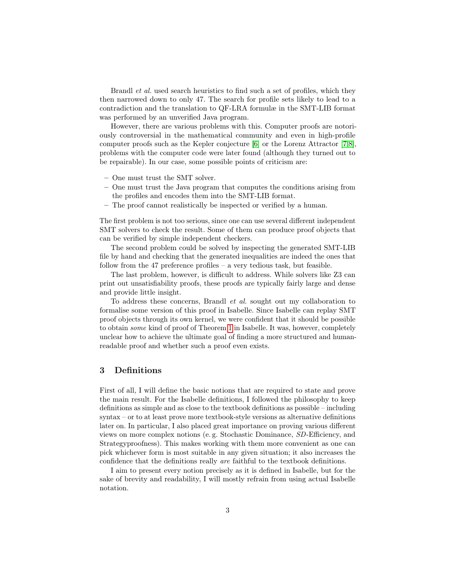Brandl et al. used search heuristics to find such a set of profiles, which they then narrowed down to only 47. The search for profile sets likely to lead to a contradiction and the translation to QF-LRA formulæ in the SMT-LIB format was performed by an unverified Java program.

However, there are various problems with this. Computer proofs are notoriously controversial in the mathematical community and even in high-profile computer proofs such as the Kepler conjecture [\[6\]](#page-15-5) or the Lorenz Attractor [\[7](#page-15-6)[,8\]](#page-15-7), problems with the computer code were later found (although they turned out to be repairable). In our case, some possible points of criticism are:

- One must trust the SMT solver.
- One must trust the Java program that computes the conditions arising from the profiles and encodes them into the SMT-LIB format.
- The proof cannot realistically be inspected or verified by a human.

The first problem is not too serious, since one can use several different independent SMT solvers to check the result. Some of them can produce proof objects that can be verified by simple independent checkers.

The second problem could be solved by inspecting the generated SMT-LIB file by hand and checking that the generated inequalities are indeed the ones that follow from the 47 preference profiles – a very tedious task, but feasible.

The last problem, however, is difficult to address. While solvers like Z3 can print out unsatisfiability proofs, these proofs are typically fairly large and dense and provide little insight.

To address these concerns, Brandl et al. sought out my collaboration to formalise some version of this proof in Isabelle. Since Isabelle can replay SMT proof objects through its own kernel, we were confident that it should be possible to obtain some kind of proof of Theorem [1](#page-1-1) in Isabelle. It was, however, completely unclear how to achieve the ultimate goal of finding a more structured and humanreadable proof and whether such a proof even exists.

## 3 Definitions

First of all, I will define the basic notions that are required to state and prove the main result. For the Isabelle definitions, I followed the philosophy to keep definitions as simple and as close to the textbook definitions as possible – including syntax – or to at least prove more textbook-style versions as alternative definitions later on. In particular, I also placed great importance on proving various different views on more complex notions (e. g. Stochastic Dominance, SD-Efficiency, and Strategyproofness). This makes working with them more convenient as one can pick whichever form is most suitable in any given situation; it also increases the confidence that the definitions really are faithful to the textbook definitions.

I aim to present every notion precisely as it is defined in Isabelle, but for the sake of brevity and readability, I will mostly refrain from using actual Isabelle notation.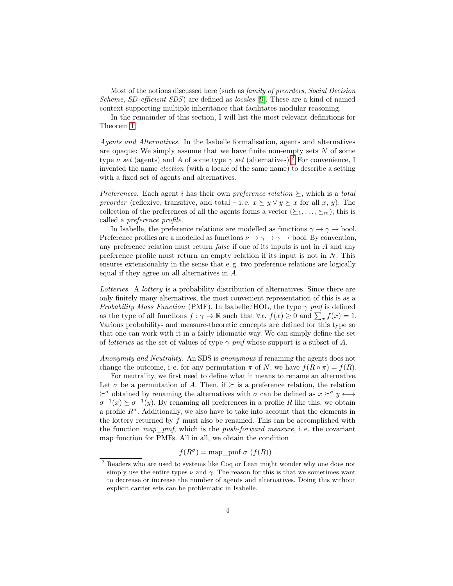Most of the notions discussed here (such as family of preorders, Social Decision Scheme, SD-efficient SDS) are defined as locales [\[9\]](#page-15-8). These are a kind of named context supporting multiple inheritance that facilitates modular reasoning.

In the remainder of this section, I will list the most relevant definitions for Theorem [1.](#page-1-1)

Agents and Alternatives. In the Isabelle formalisation, agents and alternatives are opaque: We simply assume that we have finite non-empty sets  $N$  of some type  $\nu$  set (agents) and A of some type  $\gamma$  set (alternatives).<sup>[2](#page-3-0)</sup> For convenience, I invented the name election (with a locale of the same name) to describe a setting with a fixed set of agents and alternatives.

Preferences. Each agent i has their own preference relation  $\succeq$ , which is a total preorder (reflexive, transitive, and total – i.e.  $x \succeq y \vee y \succeq x$  for all  $x, y$ ). The collection of the preferences of all the agents forms a vector  $(\succeq_1, \ldots, \succeq_m)$ ; this is called a preference profile.

In Isabelle, the preference relations are modelled as functions  $\gamma \to \gamma \to \text{bool}$ . Preference profiles are a modelled as functions  $\nu \to \gamma \to \gamma \to$  bool. By convention, any preference relation must return false if one of its inputs is not in A and any preference profile must return an empty relation if its input is not in  $N$ . This ensures extensionality in the sense that e. g. two preference relations are logically equal if they agree on all alternatives in A.

Lotteries. A lottery is a probability distribution of alternatives. Since there are only finitely many alternatives, the most convenient representation of this is as a *Probability Mass Function* (PMF). In Isabelle/HOL, the type  $\gamma$  pmf is defined as the type of all functions  $f : \gamma \to \mathbb{R}$  such that  $\forall x. f(x) \geq 0$  and  $\sum_x f(x) = 1$ . Various probability- and measure-theoretic concepts are defined for this type so that one can work with it in a fairly idiomatic way. We can simply define the set of *lotteries* as the set of values of type  $\gamma$  pmf whose support is a subset of A.

Anonymity and Neutrality. An SDS is anonymous if renaming the agents does not change the outcome, i.e. for any permutation  $\pi$  of N, we have  $f(R \circ \pi) = f(R)$ .

For neutrality, we first need to define what it means to rename an alternative. Let  $\sigma$  be a permutation of A. Then, if  $\succeq$  is a preference relation, the relation  $\succeq^{\sigma}$  obtained by renaming the alternatives with  $\sigma$  can be defined as  $x \succeq^{\sigma} y \leftrightarrow$  $\sigma^{-1}(x) \succeq \sigma^{-1}(y)$ . By renaming all preferences in a profile R like this, we obtain a profile  $R^{\sigma}$ . Additionally, we also have to take into account that the elements in the lottery returned by f must also be renamed. This can be accomplished with the function map  $pmf$ , which is the push-forward measure, i.e. the covariant map function for PMFs. All in all, we obtain the condition

$$
f(R^{\sigma}) = \text{map} \text{ pmf } \sigma \ (f(R)) .
$$

<span id="page-3-0"></span><sup>2</sup> Readers who are used to systems like Coq or Lean might wonder why one does not simply use the entire types  $\nu$  and  $\gamma$ . The reason for this is that we sometimes want to decrease or increase the number of agents and alternatives. Doing this without explicit carrier sets can be problematic in Isabelle.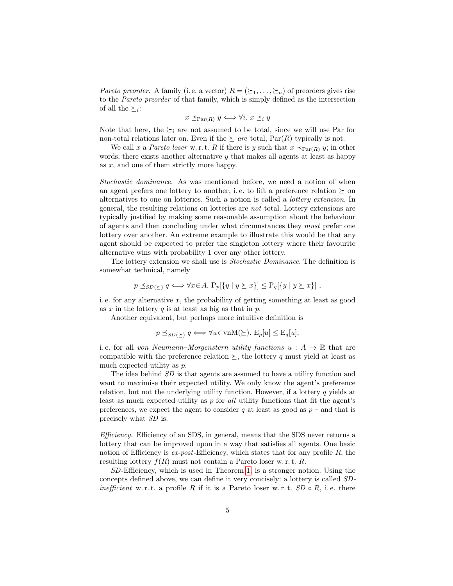Pareto preorder. A family (i.e. a vector)  $R = (\succeq_1, \ldots, \succeq_n)$  of preorders gives rise to the Pareto preorder of that family, which is simply defined as the intersection of all the  $\succeq_i$ :

$$
x \preceq_{\operatorname{Par}(R)} y \Longleftrightarrow \forall i. \ x \preceq_i y
$$

Note that here, the  $\succeq_i$  are not assumed to be total, since we will use Par for non-total relations later on. Even if the  $\succeq$  are total,  $Par(R)$  typically is not.

We call x a Pareto loser w.r.t. R if there is y such that  $x \prec_{\text{Par}(R)} y$ ; in other words, there exists another alternative  $y$  that makes all agents at least as happy as x, and one of them strictly more happy.

Stochastic dominance. As was mentioned before, we need a notion of when an agent prefers one lottery to another, i.e. to lift a preference relation  $\succeq$  on alternatives to one on lotteries. Such a notion is called a lottery extension. In general, the resulting relations on lotteries are not total. Lottery extensions are typically justified by making some reasonable assumption about the behaviour of agents and then concluding under what circumstances they must prefer one lottery over another. An extreme example to illustrate this would be that any agent should be expected to prefer the singleton lottery where their favourite alternative wins with probability 1 over any other lottery.

The lottery extension we shall use is Stochastic Dominance. The definition is somewhat technical, namely

$$
p \preceq_{SD(\succeq)} q \Longleftrightarrow \forall x \in A. \; P_p[\{y \mid y \succeq x\}] \le P_q[\{y \mid y \succeq x\}],
$$

i. e. for any alternative  $x$ , the probability of getting something at least as good as  $x$  in the lottery  $q$  is at least as big as that in  $p$ .

Another equivalent, but perhaps more intuitive definition is

$$
p \preceq_{SD(\succeq)} q \iff \forall u \in \text{vnM}(\succeq). \ E_p[u] \leq E_q[u],
$$

i.e. for all von Neumann–Morgenstern utility functions  $u : A \to \mathbb{R}$  that are compatible with the preference relation  $\succeq$ , the lottery q must yield at least as much expected utility as p.

The idea behind SD is that agents are assumed to have a utility function and want to maximise their expected utility. We only know the agent's preference relation, but not the underlying utility function. However, if a lottery q yields at least as much expected utility as  $p$  for all utility functions that fit the agent's preferences, we expect the agent to consider q at least as good as  $p$  – and that is precisely what SD is.

Efficiency. Efficiency of an SDS, in general, means that the SDS never returns a lottery that can be improved upon in a way that satisfies all agents. One basic notion of Efficiency is  $ex\text{-}post\text{-}Efficiency$ , which states that for any profile R, the resulting lottery  $f(R)$  must not contain a Pareto loser w.r.t. R.

SD-Efficiency, which is used in Theorem [1,](#page-1-1) is a stronger notion. Using the concepts defined above, we can define it very concisely: a lottery is called SDinefficient w.r.t. a profile R if it is a Pareto loser w.r.t.  $SD \circ R$ , i.e. there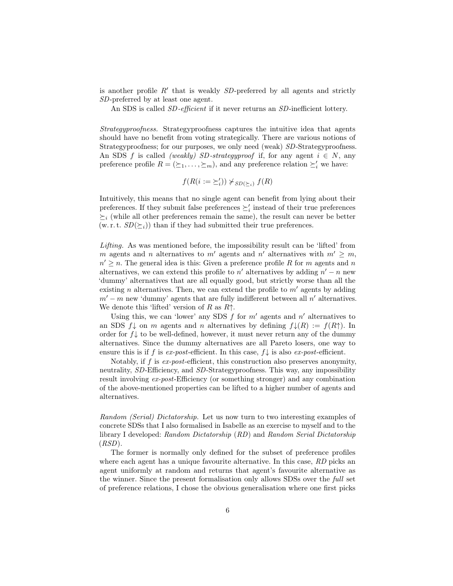is another profile  $R'$  that is weakly  $SD$ -preferred by all agents and strictly SD-preferred by at least one agent.

An SDS is called *SD-efficient* if it never returns an *SD*-inefficient lottery.

Strategyproofness. Strategyproofness captures the intuitive idea that agents should have no benefit from voting strategically. There are various notions of Strategyproofness; for our purposes, we only need (weak) SD-Strategyproofness. An SDS f is called *(weakly)* SD-strategyproof if, for any agent  $i \in N$ , any preference profile  $R = (\succeq_1, \ldots, \succeq_m)$ , and any preference relation  $\succeq'_i$  we have:

$$
f(R(i := \succeq'_i)) \nsucc_{SD(\succeq_i)} f(R)
$$

Intuitively, this means that no single agent can benefit from lying about their preferences. If they submit false preferences  $\succeq_i$  instead of their true preferences  $\succeq_i$  (while all other preferences remain the same), the result can never be better (w. r. t.  $SD(\succeq_i)$ ) than if they had submitted their true preferences.

<span id="page-5-0"></span>Lifting. As was mentioned before, the impossibility result can be 'lifted' from m agents and n alternatives to m' agents and n' alternatives with  $m' \geq m$ ,  $n' \geq n$ . The general idea is this: Given a preference profile R for m agents and n alternatives, we can extend this profile to  $n'$  alternatives by adding  $n'-n$  new 'dummy' alternatives that are all equally good, but strictly worse than all the existing n alternatives. Then, we can extend the profile to  $m'$  agents by adding  $m'-m$  new 'dummy' agents that are fully indifferent between all  $n'$  alternatives. We denote this 'lifted' version of R as  $R\uparrow$ .

Using this, we can 'lower' any SDS  $f$  for  $m'$  agents and  $n'$  alternatives to an SDS  $f\downarrow$  on m agents and n alternatives by defining  $f\downarrow(R) := f(R\uparrow)$ . In order for  $f\downarrow$  to be well-defined, however, it must never return any of the dummy alternatives. Since the dummy alternatives are all Pareto losers, one way to ensure this is if f is ex-post-efficient. In this case,  $f\downarrow$  is also ex-post-efficient.

Notably, if f is  $ex\text{-}post\text{-efficient}$ , this construction also preserves anonymity, neutrality, SD-Efficiency, and SD-Strategyproofness. This way, any impossibility result involving ex-post-Efficiency (or something stronger) and any combination of the above-mentioned properties can be lifted to a higher number of agents and alternatives.

Random (Serial) Dictatorship. Let us now turn to two interesting examples of concrete SDSs that I also formalised in Isabelle as an exercise to myself and to the library I developed: Random Dictatorship (RD) and Random Serial Dictatorship  $(RSD)$ .

The former is normally only defined for the subset of preference profiles where each agent has a unique favourite alternative. In this case, RD picks an agent uniformly at random and returns that agent's favourite alternative as the winner. Since the present formalisation only allows SDSs over the full set of preference relations, I chose the obvious generalisation where one first picks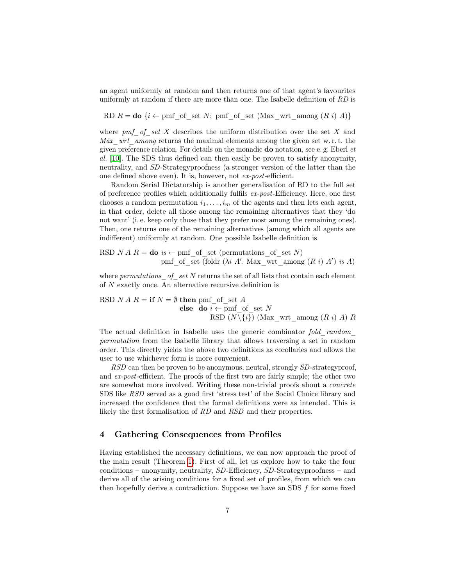an agent uniformly at random and then returns one of that agent's favourites uniformly at random if there are more than one. The Isabelle definition of RD is

RD  $R =$ **do**  $\{i \leftarrow \text{pmf} \text{ of } \text{set } N; \text{pmf} \text{ of } \text{set } (Max \text{ wrt} \text{ among } (R \ i) \ A)\}\$ 

where pmf of set X describes the uniform distribution over the set X and Max  $wrt$  among returns the maximal elements among the given set w. r. t. the given preference relation. For details on the monadic do notation, see e. g. Eberl et al. [\[10\]](#page-15-9). The SDS thus defined can then easily be proven to satisfy anonymity, neutrality, and SD-Strategyproofness (a stronger version of the latter than the one defined above even). It is, however, not ex-post-efficient.

Random Serial Dictatorship is another generalisation of RD to the full set of preference profiles which additionally fulfils ex-post-Efficiency. Here, one first chooses a random permutation  $i_1, \ldots, i_m$  of the agents and then lets each agent, in that order, delete all those among the remaining alternatives that they 'do not want' (i. e. keep only those that they prefer most among the remaining ones). Then, one returns one of the remaining alternatives (among which all agents are indifferent) uniformly at random. One possible Isabelle definition is

RSD N A R = do is  $\leftarrow$  pmf\_of\_set (permutations\_of\_set N) pmf of set (foldr  $(\lambda i \ A'$ . Max wrt among  $(R \ i) \ A'$ ) is A)

where permutations of set N returns the set of all lists that contain each element of N exactly once. An alternative recursive definition is

RSD N A R = if  $N = \emptyset$  then pmf\_of set A else do  $i \leftarrow pmf$  of set N RSD  $(N\bar{\setminus}\{i\})$  (Max wrt among  $(R \; i)$  A) R

The actual definition in Isabelle uses the generic combinator fold random permutation from the Isabelle library that allows traversing a set in random order. This directly yields the above two definitions as corollaries and allows the user to use whichever form is more convenient.

RSD can then be proven to be anonymous, neutral, strongly SD-strategyproof, and ex-post-efficient. The proofs of the first two are fairly simple; the other two are somewhat more involved. Writing these non-trivial proofs about a concrete SDS like RSD served as a good first 'stress test' of the Social Choice library and increased the confidence that the formal definitions were as intended. This is likely the first formalisation of RD and RSD and their properties.

### 4 Gathering Consequences from Profiles

Having established the necessary definitions, we can now approach the proof of the main result (Theorem [1\)](#page-1-1). First of all, let us explore how to take the four conditions – anonymity, neutrality,  $SD$ -Efficiency,  $SD$ -Strategyproofness – and derive all of the arising conditions for a fixed set of profiles, from which we can then hopefully derive a contradiction. Suppose we have an SDS  $f$  for some fixed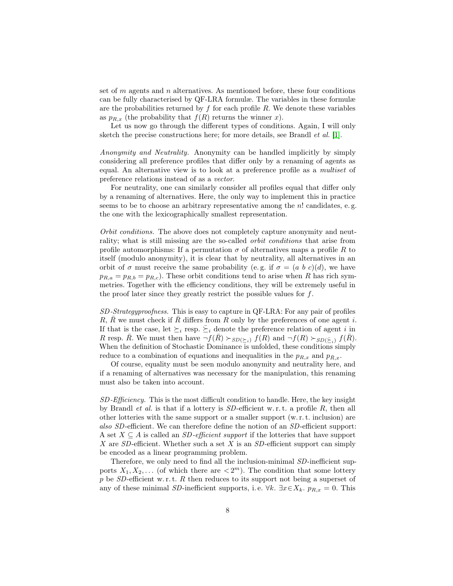set of  $m$  agents and  $n$  alternatives. As mentioned before, these four conditions can be fully characterised by QF-LRA formulæ. The variables in these formulæ are the probabilities returned by  $f$  for each profile  $R$ . We denote these variables as  $p_{R,x}$  (the probability that  $f(R)$  returns the winner x).

Let us now go through the different types of conditions. Again, I will only sketch the precise constructions here; for more details, see Brandl *et al.* [\[1\]](#page-15-0).

Anonymity and Neutrality. Anonymity can be handled implicitly by simply considering all preference profiles that differ only by a renaming of agents as equal. An alternative view is to look at a preference profile as a multiset of preference relations instead of as a vector.

For neutrality, one can similarly consider all profiles equal that differ only by a renaming of alternatives. Here, the only way to implement this in practice seems to be to choose an arbitrary representative among the n! candidates, e.g. the one with the lexicographically smallest representation.

Orbit conditions. The above does not completely capture anonymity and neutrality; what is still missing are the so-called orbit conditions that arise from profile automorphisms: If a permutation  $\sigma$  of alternatives maps a profile R to itself (modulo anonymity), it is clear that by neutrality, all alternatives in an orbit of  $\sigma$  must receive the same probability (e.g. if  $\sigma = (a \; b \; c)(d)$ , we have  $p_{R,a} = p_{R,b} = p_{R,c}$ . These orbit conditions tend to arise when R has rich symmetries. Together with the efficiency conditions, they will be extremely useful in the proof later since they greatly restrict the possible values for f.

SD-Strategyproofness. This is easy to capture in QF-LRA: For any pair of profiles R,  $\bar{R}$  we must check if  $\bar{R}$  differs from R only by the preferences of one agent i. If that is the case, let  $\succeq_i$  resp.  $\overline{\succeq}_i$  denote the preference relation of agent i in R resp.  $\bar{R}$ . We must then have  $\bar{\neg f}(\bar{R}) \succ_{SD(\succeq_i)} f(R)$  and  $\neg f(R) \succ_{SD(\succeq_i)} f(\bar{R})$ . When the definition of Stochastic Dominance is unfolded, these conditions simply reduce to a combination of equations and inequalities in the  $p_{R,x}$  and  $p_{\bar{R},x}$ .

Of course, equality must be seen modulo anonymity and neutrality here, and if a renaming of alternatives was necessary for the manipulation, this renaming must also be taken into account.

SD-Efficiency. This is the most difficult condition to handle. Here, the key insight by Brandl *et al.* is that if a lottery is  $SD$ -efficient w.r.t. a profile R, then all other lotteries with the same support or a smaller support (w. r. t. inclusion) are also SD-efficient. We can therefore define the notion of an SD-efficient support: A set  $X \subseteq A$  is called an *SD-efficient support* if the lotteries that have support X are SD-efficient. Whether such a set  $X$  is an SD-efficient support can simply be encoded as a linear programming problem.

Therefore, we only need to find all the inclusion-minimal SD-inefficient supports  $X_1, X_2, \ldots$  (of which there are  $\langle 2^m \rangle$ ). The condition that some lottery p be  $SD$ -efficient w.r.t. R then reduces to its support not being a superset of any of these minimal SD-inefficient supports, i.e.  $\forall k$ .  $\exists x \in X_k$ .  $p_{R,x} = 0$ . This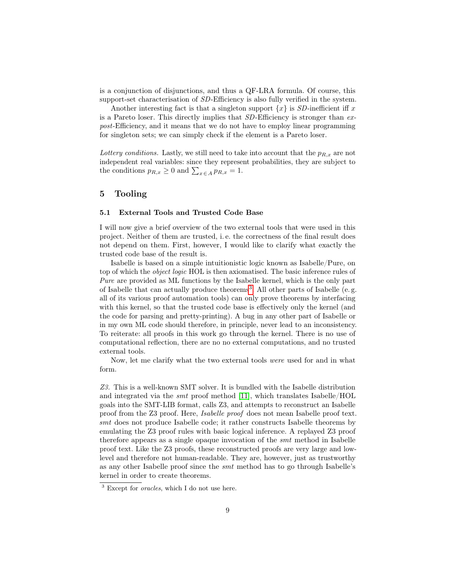is a conjunction of disjunctions, and thus a QF-LRA formula. Of course, this support-set characterisation of SD-Efficiency is also fully verified in the system.

Another interesting fact is that a singleton support  $\{x\}$  is SD-inefficient iff x is a Pareto loser. This directly implies that SD-Efficiency is stronger than expost-Efficiency, and it means that we do not have to employ linear programming for singleton sets; we can simply check if the element is a Pareto loser.

Lottery conditions. Lastly, we still need to take into account that the  $p_{R,x}$  are not independent real variables: since they represent probabilities, they are subject to the conditions  $p_{R,x} \geq 0$  and  $\sum_{x \in A} p_{R,x} = 1$ .

## 5 Tooling

### <span id="page-8-1"></span>5.1 External Tools and Trusted Code Base

I will now give a brief overview of the two external tools that were used in this project. Neither of them are trusted, i. e. the correctness of the final result does not depend on them. First, however, I would like to clarify what exactly the trusted code base of the result is.

Isabelle is based on a simple intuitionistic logic known as Isabelle/Pure, on top of which the object logic HOL is then axiomatised. The basic inference rules of Pure are provided as ML functions by the Isabelle kernel, which is the only part of Isabelle that can actually produce theorems<sup>[3](#page-8-0)</sup>. All other parts of Isabelle (e.g. all of its various proof automation tools) can only prove theorems by interfacing with this kernel, so that the trusted code base is effectively only the kernel (and the code for parsing and pretty-printing). A bug in any other part of Isabelle or in my own ML code should therefore, in principle, never lead to an inconsistency. To reiterate: all proofs in this work go through the kernel. There is no use of computational reflection, there are no no external computations, and no trusted external tools.

Now, let me clarify what the two external tools were used for and in what form.

<span id="page-8-2"></span>Z3. This is a well-known SMT solver. It is bundled with the Isabelle distribution and integrated via the *smt* proof method [\[11\]](#page-15-10), which translates Isabelle/HOL goals into the SMT-LIB format, calls Z3, and attempts to reconstruct an Isabelle proof from the Z3 proof. Here, Isabelle proof does not mean Isabelle proof text. smt does not produce Isabelle code; it rather constructs Isabelle theorems by emulating the Z3 proof rules with basic logical inference. A replayed Z3 proof therefore appears as a single opaque invocation of the smt method in Isabelle proof text. Like the Z3 proofs, these reconstructed proofs are very large and lowlevel and therefore not human-readable. They are, however, just as trustworthy as any other Isabelle proof since the smt method has to go through Isabelle's kernel in order to create theorems.

<span id="page-8-0"></span><sup>&</sup>lt;sup>3</sup> Except for *oracles*, which I do not use here.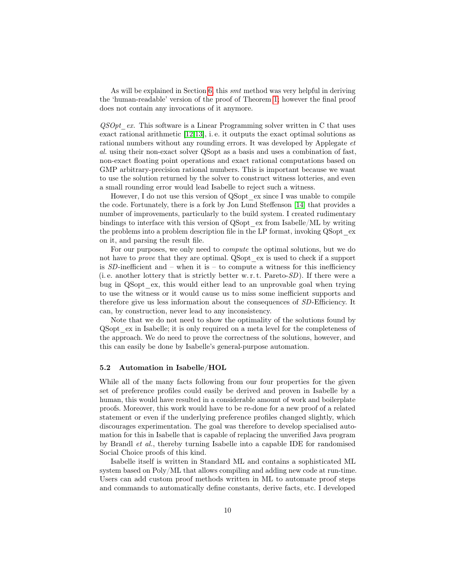As will be explained in Section [6,](#page-11-0) this smt method was very helpful in deriving the 'human-readable' version of the proof of Theorem [1;](#page-1-1) however the final proof does not contain any invocations of it anymore.

 $QSOpt$  ex. This software is a Linear Programming solver written in C that uses exact rational arithmetic [\[12,](#page-16-0)[13\]](#page-16-1), i. e. it outputs the exact optimal solutions as rational numbers without any rounding errors. It was developed by Applegate et al. using their non-exact solver QSopt as a basis and uses a combination of fast, non-exact floating point operations and exact rational computations based on GMP arbitrary-precision rational numbers. This is important because we want to use the solution returned by the solver to construct witness lotteries, and even a small rounding error would lead Isabelle to reject such a witness.

However, I do not use this version of QSopt\_ex since I was unable to compile the code. Fortunately, there is a fork by Jon Lund Steffenson [\[14\]](#page-16-2) that provides a number of improvements, particularly to the build system. I created rudimentary bindings to interface with this version of QSopt\_ex from Isabelle/ML by writing the problems into a problem description file in the LP format, invoking QSopt\_ex on it, and parsing the result file.

For our purposes, we only need to compute the optimal solutions, but we do not have to *prove* that they are optimal. QSopt ex is used to check if a support is  $SD$ -inefficient and – when it is – to compute a witness for this inefficiency (i.e. another lottery that is strictly better w.r.t. Pareto- $SD$ ). If there were a bug in QSopt\_ex, this would either lead to an unprovable goal when trying to use the witness or it would cause us to miss some inefficient supports and therefore give us less information about the consequences of SD-Efficiency. It can, by construction, never lead to any inconsistency.

Note that we do not need to show the optimality of the solutions found by QSopt\_ex in Isabelle; it is only required on a meta level for the completeness of the approach. We do need to prove the correctness of the solutions, however, and this can easily be done by Isabelle's general-purpose automation.

#### <span id="page-9-0"></span>5.2 Automation in Isabelle/HOL

While all of the many facts following from our four properties for the given set of preference profiles could easily be derived and proven in Isabelle by a human, this would have resulted in a considerable amount of work and boilerplate proofs. Moreover, this work would have to be re-done for a new proof of a related statement or even if the underlying preference profiles changed slightly, which discourages experimentation. The goal was therefore to develop specialised automation for this in Isabelle that is capable of replacing the unverified Java program by Brandl et al., thereby turning Isabelle into a capable IDE for randomised Social Choice proofs of this kind.

Isabelle itself is written in Standard ML and contains a sophisticated ML system based on Poly/ML that allows compiling and adding new code at run-time. Users can add custom proof methods written in ML to automate proof steps and commands to automatically define constants, derive facts, etc. I developed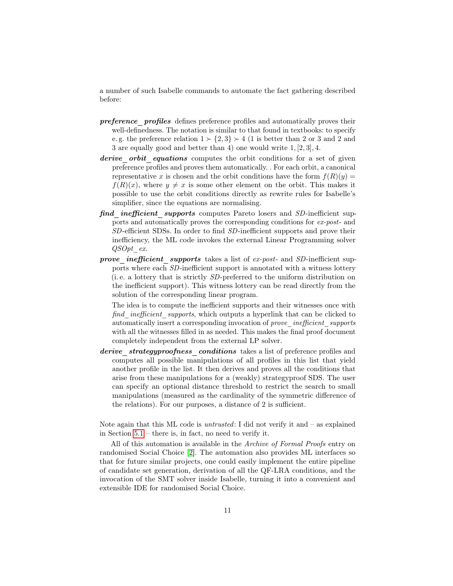a number of such Isabelle commands to automate the fact gathering described before:

- preference profiles defines preference profiles and automatically proves their well-definedness. The notation is similar to that found in textbooks: to specify e. g. the preference relation  $1 \succ \{2, 3\} \succ 4$  (1 is better than 2 or 3 and 2 and 3 are equally good and better than 4) one would write 1, [2, 3], 4.
- derive orbit equations computes the orbit conditions for a set of given preference profiles and proves them automatically. . For each orbit, a canonical representative x is chosen and the orbit conditions have the form  $f(R)(y) =$  $f(R)(x)$ , where  $y \neq x$  is some other element on the orbit. This makes it possible to use the orbit conditions directly as rewrite rules for Isabelle's simplifier, since the equations are normalising.
- find inefficient supports computes Pareto losers and SD-inefficient supports and automatically proves the corresponding conditions for ex-post- and SD-efficient SDSs. In order to find SD-inefficient supports and prove their inefficiency, the ML code invokes the external Linear Programming solver QSOpt\_ex.
- prove inefficient supports takes a list of ex-post- and SD-inefficient supports where each SD-inefficient support is annotated with a witness lottery (i. e. a lottery that is strictly SD-preferred to the uniform distribution on the inefficient support). This witness lottery can be read directly from the solution of the corresponding linear program.

The idea is to compute the inefficient supports and their witnesses once with find inefficient supports, which outputs a hyperlink that can be clicked to automatically insert a corresponding invocation of prove inefficient supports with all the witnesses filled in as needed. This makes the final proof document completely independent from the external LP solver.

derive strategyproofness conditions takes a list of preference profiles and computes all possible manipulations of all profiles in this list that yield another profile in the list. It then derives and proves all the conditions that arise from these manipulations for a (weakly) strategyproof SDS. The user can specify an optional distance threshold to restrict the search to small manipulations (measured as the cardinality of the symmetric difference of the relations). For our purposes, a distance of 2 is sufficient.

Note again that this ML code is *untrusted*: I did not verify it and  $-$  as explained in Section [5.1](#page-8-1) – there is, in fact, no need to verify it.

All of this automation is available in the Archive of Formal Proofs entry on randomised Social Choice [\[2\]](#page-15-1). The automation also provides ML interfaces so that for future similar projects, one could easily implement the entire pipeline of candidate set generation, derivation of all the QF-LRA conditions, and the invocation of the SMT solver inside Isabelle, turning it into a convenient and extensible IDE for randomised Social Choice.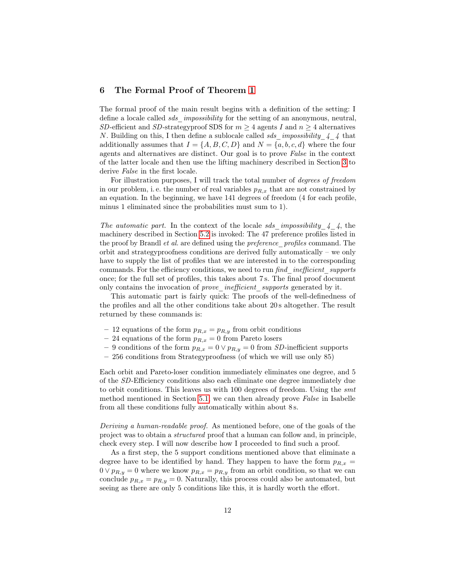### <span id="page-11-0"></span>6 The Formal Proof of Theorem [1](#page-1-1)

The formal proof of the main result begins with a definition of the setting: I define a locale called sds impossibility for the setting of an anonymous, neutral, SD-efficient and SD-strategyproof SDS for  $m \geq 4$  agents I and  $n \geq 4$  alternatives N. Building on this, I then define a sublocale called sds impossibility  $\frac{4}{4}$  that additionally assumes that  $I = \{A, B, C, D\}$  and  $N = \{a, b, c, d\}$  where the four agents and alternatives are distinct. Our goal is to prove False in the context of the latter locale and then use the lifting machinery described in Section [3](#page-5-0) to derive *False* in the first locale.

For illustration purposes, I will track the total number of degrees of freedom in our problem, i.e. the number of real variables  $p_{R,x}$  that are not constrained by an equation. In the beginning, we have 141 degrees of freedom (4 for each profile, minus 1 eliminated since the probabilities must sum to 1).

The automatic part. In the context of the locale sds impossibility 4 4, the machinery described in Section [5.2](#page-9-0) is invoked: The 47 preference profiles listed in the proof by Brandl et al. are defined using the preference profiles command. The orbit and strategyproofness conditions are derived fully automatically – we only have to supply the list of profiles that we are interested in to the corresponding commands. For the efficiency conditions, we need to run *find inefficient supports* once; for the full set of profiles, this takes about 7 s. The final proof document only contains the invocation of *prove* inefficient supports generated by it.

This automatic part is fairly quick: The proofs of the well-definedness of the profiles and all the other conditions take about 20 s altogether. The result returned by these commands is:

- 12 equations of the form  $p_{R,x} = p_{R,y}$  from orbit conditions
- 24 equations of the form  $p_{R,x} = 0$  from Pareto losers
- 9 conditions of the form  $p_{R,x} = 0 \vee p_{R,y} = 0$  from SD-inefficient supports
- 256 conditions from Strategyproofness (of which we will use only 85)

Each orbit and Pareto-loser condition immediately eliminates one degree, and 5 of the SD-Efficiency conditions also each eliminate one degree immediately due to orbit conditions. This leaves us with 100 degrees of freedom. Using the smt method mentioned in Section [5.1,](#page-8-2) we can then already prove False in Isabelle from all these conditions fully automatically within about 8 s.

Deriving a human-readable proof. As mentioned before, one of the goals of the project was to obtain a structured proof that a human can follow and, in principle, check every step. I will now describe how I proceeded to find such a proof.

As a first step, the 5 support conditions mentioned above that eliminate a degree have to be identified by hand. They happen to have the form  $p_{R,x}$  =  $0 \vee p_{R,y} = 0$  where we know  $p_{R,x} = p_{R,y}$  from an orbit condition, so that we can conclude  $p_{R,x} = p_{R,y} = 0$ . Naturally, this process could also be automated, but seeing as there are only 5 conditions like this, it is hardly worth the effort.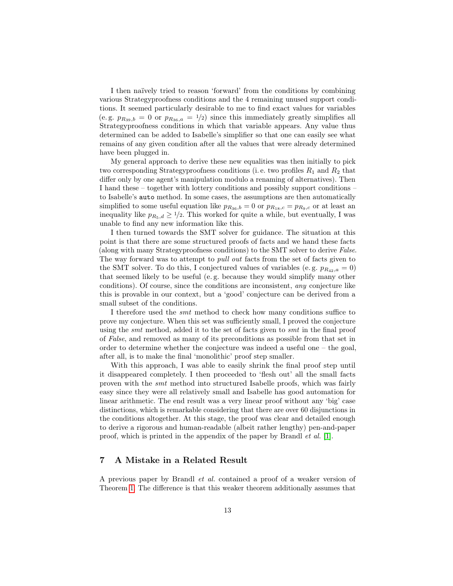I then naïvely tried to reason 'forward' from the conditions by combining various Strategyproofness conditions and the 4 remaining unused support conditions. It seemed particularly desirable to me to find exact values for variables (e.g.  $p_{R_{39},b} = 0$  or  $p_{R_{36},a} = 1/2$ ) since this immediately greatly simplifies all Strategyproofness conditions in which that variable appears. Any value thus determined can be added to Isabelle's simplifier so that one can easily see what remains of any given condition after all the values that were already determined have been plugged in.

My general approach to derive these new equalities was then initially to pick two corresponding Strategyproofness conditions (i.e. two profiles  $R_1$  and  $R_2$  that differ only by one agent's manipulation modulo a renaming of alternatives). Then I hand these – together with lottery conditions and possibly support conditions – to Isabelle's auto method. In some cases, the assumptions are then automatically simplified to some useful equation like  $p_{R_{36},b} = 0$  or  $p_{R_{18},c} = p_{R_9,c}$  or at least an inequality like  $p_{R_5,d} \geq 1/2$ . This worked for quite a while, but eventually, I was unable to find any new information like this.

I then turned towards the SMT solver for guidance. The situation at this point is that there are some structured proofs of facts and we hand these facts (along with many Strategyproofness conditions) to the SMT solver to derive False. The way forward was to attempt to *pull out* facts from the set of facts given to the SMT solver. To do this, I conjectured values of variables (e.g.  $p_{R_{42},a} = 0$ ) that seemed likely to be useful (e. g. because they would simplify many other conditions). Of course, since the conditions are inconsistent, any conjecture like this is provable in our context, but a 'good' conjecture can be derived from a small subset of the conditions.

I therefore used the smt method to check how many conditions suffice to prove my conjecture. When this set was sufficiently small, I proved the conjecture using the smt method, added it to the set of facts given to smt in the final proof of False, and removed as many of its preconditions as possible from that set in order to determine whether the conjecture was indeed a useful one – the goal, after all, is to make the final 'monolithic' proof step smaller.

With this approach, I was able to easily shrink the final proof step until it disappeared completely. I then proceeded to 'flesh out' all the small facts proven with the smt method into structured Isabelle proofs, which was fairly easy since they were all relatively small and Isabelle has good automation for linear arithmetic. The end result was a very linear proof without any 'big' case distinctions, which is remarkable considering that there are over 60 disjunctions in the conditions altogether. At this stage, the proof was clear and detailed enough to derive a rigorous and human-readable (albeit rather lengthy) pen-and-paper proof, which is printed in the appendix of the paper by Brandl et al. [\[1\]](#page-15-0).

# 7 A Mistake in a Related Result

A previous paper by Brandl et al. contained a proof of a weaker version of Theorem [1.](#page-1-1) The difference is that this weaker theorem additionally assumes that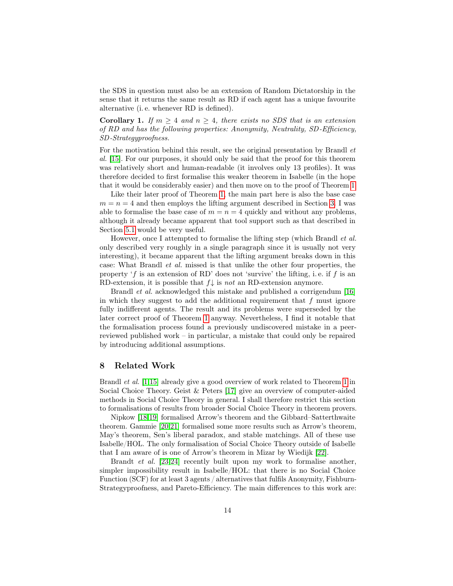the SDS in question must also be an extension of Random Dictatorship in the sense that it returns the same result as RD if each agent has a unique favourite alternative (i. e. whenever RD is defined).

**Corollary 1.** If  $m \geq 4$  and  $n \geq 4$ , there exists no SDS that is an extension of RD and has the following properties: Anonymity, Neutrality, SD-Efficiency, SD-Strategyproofness.

For the motivation behind this result, see the original presentation by Brandl et al. [\[15\]](#page-16-3). For our purposes, it should only be said that the proof for this theorem was relatively short and human-readable (it involves only 13 profiles). It was therefore decided to first formalise this weaker theorem in Isabelle (in the hope that it would be considerably easier) and then move on to the proof of Theorem [1.](#page-1-1)

Like their later proof of Theorem [1,](#page-1-1) the main part here is also the base case  $m = n = 4$  and then employs the lifting argument described in Section [3.](#page-5-0) I was able to formalise the base case of  $m = n = 4$  quickly and without any problems, although it already became apparent that tool support such as that described in Section [5.1](#page-8-1) would be very useful.

However, once I attempted to formalise the lifting step (which Brandl *et al.*) only described very roughly in a single paragraph since it is usually not very interesting), it became apparent that the lifting argument breaks down in this case: What Brandl et al. missed is that unlike the other four properties, the property 'f is an extension of RD' does not 'survive' the lifting, i.e. if f is an RD-extension, it is possible that  $f\downarrow$  is not an RD-extension anymore.

Brandl et al. acknowledged this mistake and published a corrigendum [\[16\]](#page-16-4) in which they suggest to add the additional requirement that  $f$  must ignore fully indifferent agents. The result and its problems were superseded by the later correct proof of Theorem [1](#page-1-1) anyway. Nevertheless, I find it notable that the formalisation process found a previously undiscovered mistake in a peerreviewed published work – in particular, a mistake that could only be repaired by introducing additional assumptions.

# 8 Related Work

Brandl *et al.* [\[1,](#page-15-0)[15\]](#page-16-3) already give a good overview of work related to Theorem [1](#page-1-1) in Social Choice Theory. Geist & Peters [\[17\]](#page-16-5) give an overview of computer-aided methods in Social Choice Theory in general. I shall therefore restrict this section to formalisations of results from broader Social Choice Theory in theorem provers.

Nipkow [\[18,](#page-16-6)[19\]](#page-16-7) formalised Arrow's theorem and the Gibbard–Satterthwaite theorem. Gammie [\[20,](#page-16-8)[21\]](#page-16-9) formalised some more results such as Arrow's theorem, May's theorem, Sen's liberal paradox, and stable matchings. All of these use Isabelle/HOL. The only formalisation of Social Choice Theory outside of Isabelle that I am aware of is one of Arrow's theorem in Mizar by Wiedijk [\[22\]](#page-16-10).

Brandt et al. [\[23,](#page-16-11)[24\]](#page-16-12) recently built upon my work to formalise another, simpler impossibility result in Isabelle/HOL: that there is no Social Choice Function (SCF) for at least 3 agents / alternatives that fulfils Anonymity, Fishburn-Strategyproofness, and Pareto-Efficiency. The main differences to this work are: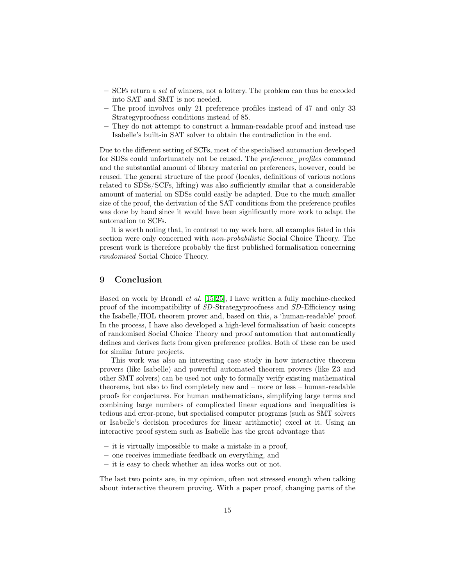- SCFs return a set of winners, not a lottery. The problem can thus be encoded into SAT and SMT is not needed.
- The proof involves only 21 preference profiles instead of 47 and only 33 Strategyproofness conditions instead of 85.
- They do not attempt to construct a human-readable proof and instead use Isabelle's built-in SAT solver to obtain the contradiction in the end.

Due to the different setting of SCFs, most of the specialised automation developed for SDSs could unfortunately not be reused. The *preference profiles* command and the substantial amount of library material on preferences, however, could be reused. The general structure of the proof (locales, definitions of various notions related to SDSs/SCFs, lifting) was also sufficiently similar that a considerable amount of material on SDSs could easily be adapted. Due to the much smaller size of the proof, the derivation of the SAT conditions from the preference profiles was done by hand since it would have been significantly more work to adapt the automation to SCFs.

It is worth noting that, in contrast to my work here, all examples listed in this section were only concerned with non-probabilistic Social Choice Theory. The present work is therefore probably the first published formalisation concerning randomised Social Choice Theory.

# 9 Conclusion

Based on work by Brandl et al. [\[15,](#page-16-3)[25\]](#page-16-13), I have written a fully machine-checked proof of the incompatibility of SD-Strategyproofness and SD-Efficiency using the Isabelle/HOL theorem prover and, based on this, a 'human-readable' proof. In the process, I have also developed a high-level formalisation of basic concepts of randomised Social Choice Theory and proof automation that automatically defines and derives facts from given preference profiles. Both of these can be used for similar future projects.

This work was also an interesting case study in how interactive theorem provers (like Isabelle) and powerful automated theorem provers (like Z3 and other SMT solvers) can be used not only to formally verify existing mathematical theorems, but also to find completely new and – more or less – human-readable proofs for conjectures. For human mathematicians, simplifying large terms and combining large numbers of complicated linear equations and inequalities is tedious and error-prone, but specialised computer programs (such as SMT solvers or Isabelle's decision procedures for linear arithmetic) excel at it. Using an interactive proof system such as Isabelle has the great advantage that

- it is virtually impossible to make a mistake in a proof,
- one receives immediate feedback on everything, and
- it is easy to check whether an idea works out or not.

The last two points are, in my opinion, often not stressed enough when talking about interactive theorem proving. With a paper proof, changing parts of the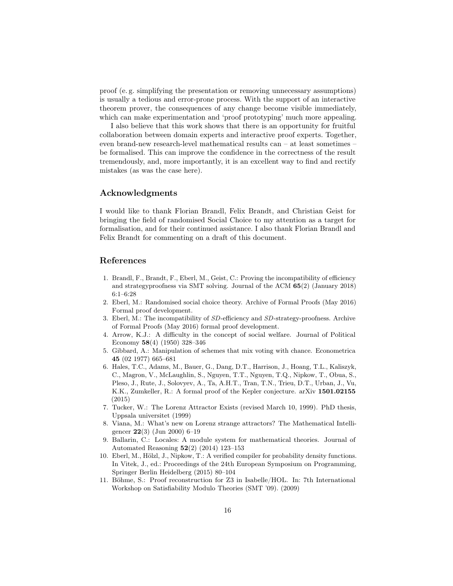proof (e. g. simplifying the presentation or removing unnecessary assumptions) is usually a tedious and error-prone process. With the support of an interactive theorem prover, the consequences of any change become visible immediately, which can make experimentation and 'proof prototyping' much more appealing.

I also believe that this work shows that there is an opportunity for fruitful collaboration between domain experts and interactive proof experts. Together, even brand-new research-level mathematical results can – at least sometimes – be formalised. This can improve the confidence in the correctness of the result tremendously, and, more importantly, it is an excellent way to find and rectify mistakes (as was the case here).

### Acknowledgments

I would like to thank Florian Brandl, Felix Brandt, and Christian Geist for bringing the field of randomised Social Choice to my attention as a target for formalisation, and for their continued assistance. I also thank Florian Brandl and Felix Brandt for commenting on a draft of this document.

# References

- <span id="page-15-0"></span>1. Brandl, F., Brandt, F., Eberl, M., Geist, C.: Proving the incompatibility of efficiency and strategyproofness via SMT solving. Journal of the ACM 65(2) (January 2018) 6:1–6:28
- <span id="page-15-1"></span>2. Eberl, M.: Randomised social choice theory. Archive of Formal Proofs (May 2016) Formal proof development.
- <span id="page-15-2"></span>3. Eberl, M.: The incompatibility of SD-efficiency and SD-strategy-proofness. Archive of Formal Proofs (May 2016) formal proof development.
- <span id="page-15-3"></span>4. Arrow, K.J.: A difficulty in the concept of social welfare. Journal of Political Economy 58(4) (1950) 328–346
- <span id="page-15-4"></span>5. Gibbard, A.: Manipulation of schemes that mix voting with chance. Econometrica 45 (02 1977) 665–681
- <span id="page-15-5"></span>6. Hales, T.C., Adams, M., Bauer, G., Dang, D.T., Harrison, J., Hoang, T.L., Kaliszyk, C., Magron, V., McLaughlin, S., Nguyen, T.T., Nguyen, T.Q., Nipkow, T., Obua, S., Pleso, J., Rute, J., Solovyev, A., Ta, A.H.T., Tran, T.N., Trieu, D.T., Urban, J., Vu, K.K., Zumkeller, R.: A formal proof of the Kepler conjecture. arXiv 1501.02155 (2015)
- <span id="page-15-6"></span>7. Tucker, W.: The Lorenz Attractor Exists (revised March 10, 1999). PhD thesis, Uppsala universitet (1999)
- <span id="page-15-7"></span>8. Viana, M.: What's new on Lorenz strange attractors? The Mathematical Intelligencer 22(3) (Jun 2000) 6–19
- <span id="page-15-8"></span>9. Ballarin, C.: Locales: A module system for mathematical theories. Journal of Automated Reasoning 52(2) (2014) 123–153
- <span id="page-15-9"></span>10. Eberl, M., Hölzl, J., Nipkow, T.: A verified compiler for probability density functions. In Vitek, J., ed.: Proceedings of the 24th European Symposium on Programming, Springer Berlin Heidelberg (2015) 80–104
- <span id="page-15-10"></span>11. Böhme, S.: Proof reconstruction for Z3 in Isabelle/HOL. In: 7th International Workshop on Satisfiability Modulo Theories (SMT '09). (2009)